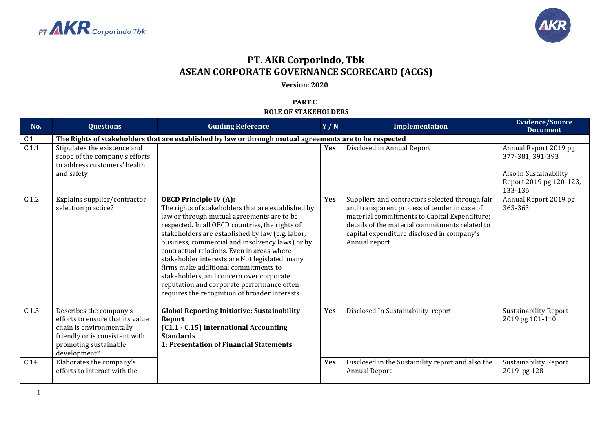



## **PT. AKR Corporindo, Tbk ASEAN CORPORATE GOVERNANCE SCORECARD (ACGS)**

**Version: 2020**

**PART C ROLE OF STAKEHOLDERS**

| No.   | <b>Questions</b>                                                                                                                                                   | <b>Guiding Reference</b>                                                                                                                                                                                                                                                                                                                                                                                                                                                                                                                                                        | Y/N        | Implementation                                                                                                                                                                                                                                                   | <b>Evidence/Source</b><br><b>Document</b>                                                                 |  |  |
|-------|--------------------------------------------------------------------------------------------------------------------------------------------------------------------|---------------------------------------------------------------------------------------------------------------------------------------------------------------------------------------------------------------------------------------------------------------------------------------------------------------------------------------------------------------------------------------------------------------------------------------------------------------------------------------------------------------------------------------------------------------------------------|------------|------------------------------------------------------------------------------------------------------------------------------------------------------------------------------------------------------------------------------------------------------------------|-----------------------------------------------------------------------------------------------------------|--|--|
| C.1   | The Rights of stakeholders that are established by law or through mutual agreements are to be respected                                                            |                                                                                                                                                                                                                                                                                                                                                                                                                                                                                                                                                                                 |            |                                                                                                                                                                                                                                                                  |                                                                                                           |  |  |
| C.1.1 | Stipulates the existence and<br>scope of the company's efforts<br>to address customers' health<br>and safety                                                       |                                                                                                                                                                                                                                                                                                                                                                                                                                                                                                                                                                                 | <b>Yes</b> | Disclosed in Annual Report                                                                                                                                                                                                                                       | Annual Report 2019 pg<br>377-381, 391-393<br>Also in Sustainability<br>Report 2019 pg 120-123,<br>133-136 |  |  |
| C.1.2 | Explains supplier/contractor<br>selection practice?                                                                                                                | <b>OECD Principle IV (A):</b><br>The rights of stakeholders that are established by<br>law or through mutual agreements are to be<br>respected. In all OECD countries, the rights of<br>stakeholders are established by law (e.g. labor,<br>business, commercial and insolvency laws) or by<br>contractual relations. Even in areas where<br>stakeholder interests are Not legislated, many<br>firms make additional commitments to<br>stakeholders, and concern over corporate<br>reputation and corporate performance often<br>requires the recognition of broader interests. | Yes        | Suppliers and contractors selected through fair<br>and transparent process of tender in case of<br>material commitments to Capital Expenditure;<br>details of the material commitments related to<br>capital expenditure disclosed in company's<br>Annual report | Annual Report 2019 pg<br>363-363                                                                          |  |  |
| C.1.3 | Describes the company's<br>efforts to ensure that its value<br>chain is environmentally<br>friendly or is consistent with<br>promoting sustainable<br>development? | <b>Global Reporting Initiative: Sustainability</b><br>Report<br>(C1.1 - C.15) International Accounting<br><b>Standards</b><br>1: Presentation of Financial Statements                                                                                                                                                                                                                                                                                                                                                                                                           | <b>Yes</b> | Disclosed In Sustainability report                                                                                                                                                                                                                               | Sustainability Report<br>2019 pg 101-110                                                                  |  |  |
| C.14  | Elaborates the company's<br>efforts to interact with the                                                                                                           |                                                                                                                                                                                                                                                                                                                                                                                                                                                                                                                                                                                 | <b>Yes</b> | Disclosed in the Sustainility report and also the<br><b>Annual Report</b>                                                                                                                                                                                        | <b>Sustainability Report</b><br>2019 pg 128                                                               |  |  |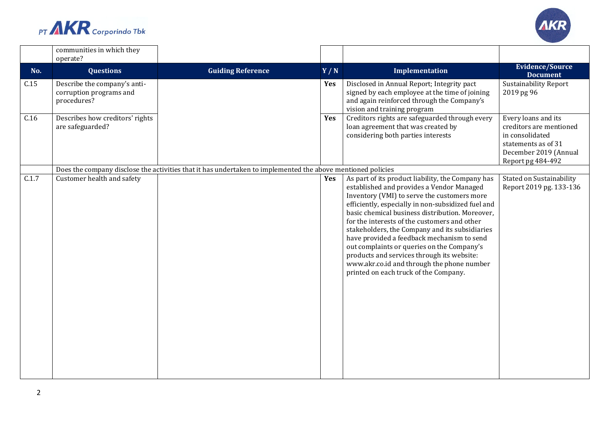



|       | communities in which they<br>operate?                                  |                                                                                                             |            |                                                                                                                                                                                                                                                                                                                                                                                                                                                                                                                                                                                           |                                                                                                                                        |
|-------|------------------------------------------------------------------------|-------------------------------------------------------------------------------------------------------------|------------|-------------------------------------------------------------------------------------------------------------------------------------------------------------------------------------------------------------------------------------------------------------------------------------------------------------------------------------------------------------------------------------------------------------------------------------------------------------------------------------------------------------------------------------------------------------------------------------------|----------------------------------------------------------------------------------------------------------------------------------------|
| No.   | <b>Questions</b>                                                       | <b>Guiding Reference</b>                                                                                    | Y/N        | Implementation                                                                                                                                                                                                                                                                                                                                                                                                                                                                                                                                                                            | <b>Evidence/Source</b><br><b>Document</b>                                                                                              |
| C.15  | Describe the company's anti-<br>corruption programs and<br>procedures? |                                                                                                             | Yes        | Disclosed in Annual Report; Integrity pact<br>signed by each employee at the time of joining<br>and again reinforced through the Company's<br>vision and training program                                                                                                                                                                                                                                                                                                                                                                                                                 | <b>Sustainability Report</b><br>2019 pg 96                                                                                             |
| C.16  | Describes how creditors' rights<br>are safeguarded?                    |                                                                                                             | <b>Yes</b> | Creditors rights are safeguarded through every<br>loan agreement that was created by<br>considering both parties interests                                                                                                                                                                                                                                                                                                                                                                                                                                                                | Every loans and its<br>creditors are mentioned<br>in consolidated<br>statements as of 31<br>December 2019 (Annual<br>Report pg 484-492 |
|       |                                                                        | Does the company disclose the activities that it has undertaken to implemented the above mentioned policies |            |                                                                                                                                                                                                                                                                                                                                                                                                                                                                                                                                                                                           |                                                                                                                                        |
| C.1.7 | Customer health and safety                                             |                                                                                                             | <b>Yes</b> | As part of its product liability, the Company has<br>established and provides a Vendor Managed<br>Inventory (VMI) to serve the customers more<br>efficiently, especially in non-subsidized fuel and<br>basic chemical business distribution. Moreover,<br>for the interests of the customers and other<br>stakeholders, the Company and its subsidiaries<br>have provided a feedback mechanism to send<br>out complaints or queries on the Company's<br>products and services through its website:<br>www.akr.co.id and through the phone number<br>printed on each truck of the Company. | <b>Stated on Sustainability</b><br>Report 2019 pg. 133-136                                                                             |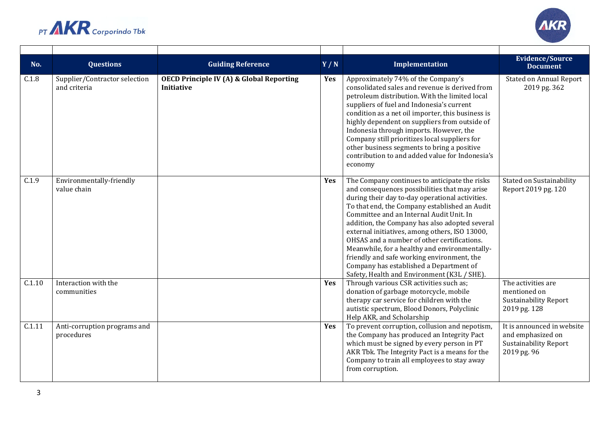



| No.    | <b>Questions</b>                              | <b>Guiding Reference</b>                                                 | Y/N | Implementation                                                                                                                                                                                                                                                                                                                                                                                                                                                                                                                                                                             | <b>Evidence/Source</b><br><b>Document</b>                                                      |
|--------|-----------------------------------------------|--------------------------------------------------------------------------|-----|--------------------------------------------------------------------------------------------------------------------------------------------------------------------------------------------------------------------------------------------------------------------------------------------------------------------------------------------------------------------------------------------------------------------------------------------------------------------------------------------------------------------------------------------------------------------------------------------|------------------------------------------------------------------------------------------------|
| C.1.8  | Supplier/Contractor selection<br>and criteria | <b>OECD Principle IV (A) &amp; Global Reporting</b><br><b>Initiative</b> | Yes | Approximately 74% of the Company's<br>consolidated sales and revenue is derived from<br>petroleum distribution. With the limited local<br>suppliers of fuel and Indonesia's current<br>condition as a net oil importer, this business is<br>highly dependent on suppliers from outside of<br>Indonesia through imports. However, the<br>Company still prioritizes local suppliers for<br>other business segments to bring a positive<br>contribution to and added value for Indonesia's<br>economy                                                                                         | <b>Stated on Annual Report</b><br>2019 pg. 362                                                 |
| C.1.9  | Environmentally-friendly<br>value chain       |                                                                          | Yes | The Company continues to anticipate the risks<br>and consequences possibilities that may arise<br>during their day to-day operational activities.<br>To that end, the Company established an Audit<br>Committee and an Internal Audit Unit. In<br>addition, the Company has also adopted several<br>external initiatives, among others, ISO 13000,<br>OHSAS and a number of other certifications.<br>Meanwhile, for a healthy and environmentally-<br>friendly and safe working environment, the<br>Company has established a Department of<br>Safety, Health and Environment (K3L / SHE). | Stated on Sustainability<br>Report 2019 pg. 120                                                |
| C.1.10 | Interaction with the<br>communities           |                                                                          | Yes | Through various CSR activities such as;<br>donation of garbage motorcycle, mobile<br>therapy car service for children with the<br>autistic spectrum, Blood Donors, Polyclinic<br>Help AKR, and Scholarship                                                                                                                                                                                                                                                                                                                                                                                 | The activities are<br>mentioned on<br><b>Sustainability Report</b><br>2019 pg. 128             |
| C.1.11 | Anti-corruption programs and<br>procedures    |                                                                          | Yes | To prevent corruption, collusion and nepotism,<br>the Company has produced an Integrity Pact<br>which must be signed by every person in PT<br>AKR Tbk. The Integrity Pact is a means for the<br>Company to train all employees to stay away<br>from corruption.                                                                                                                                                                                                                                                                                                                            | It is announced in website<br>and emphasized on<br><b>Sustainability Report</b><br>2019 pg. 96 |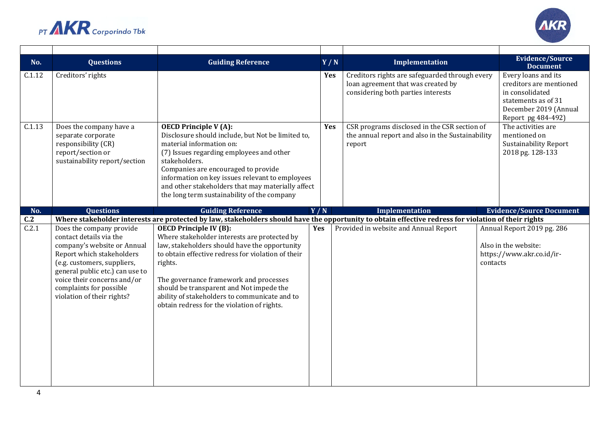



| No.    | <b>Questions</b>                                                                                                                                                                                                                                                          | <b>Guiding Reference</b>                                                                                                                                                                                                                                                                                                                                                              | Y/N        | Implementation                                                                                                             |          | <b>Evidence/Source</b><br><b>Document</b>                                                                                               |
|--------|---------------------------------------------------------------------------------------------------------------------------------------------------------------------------------------------------------------------------------------------------------------------------|---------------------------------------------------------------------------------------------------------------------------------------------------------------------------------------------------------------------------------------------------------------------------------------------------------------------------------------------------------------------------------------|------------|----------------------------------------------------------------------------------------------------------------------------|----------|-----------------------------------------------------------------------------------------------------------------------------------------|
| C.1.12 | Creditors' rights                                                                                                                                                                                                                                                         |                                                                                                                                                                                                                                                                                                                                                                                       | <b>Yes</b> | Creditors rights are safeguarded through every<br>loan agreement that was created by<br>considering both parties interests |          | Every loans and its<br>creditors are mentioned<br>in consolidated<br>statements as of 31<br>December 2019 (Annual<br>Report pg 484-492) |
| C.1.13 | Does the company have a<br>separate corporate<br>responsibility (CR)<br>report/section or<br>sustainability report/section                                                                                                                                                | $\overline{OECD}$ Principle V (A):<br>Disclosure should include, but Not be limited to,<br>material information on:<br>(7) Issues regarding employees and other<br>stakeholders.<br>Companies are encouraged to provide<br>information on key issues relevant to employees<br>and other stakeholders that may materially affect<br>the long term sustainability of the company        | Yes        | CSR programs disclosed in the CSR section of<br>the annual report and also in the Sustainability<br>report                 |          | The activities are<br>mentioned on<br><b>Sustainability Report</b><br>2018 pg. 128-133                                                  |
| No.    | <b>Questions</b>                                                                                                                                                                                                                                                          | <b>Guiding Reference</b>                                                                                                                                                                                                                                                                                                                                                              | Y/N        | <b>Implementation</b>                                                                                                      |          | <b>Evidence/Source Document</b>                                                                                                         |
| C.2    |                                                                                                                                                                                                                                                                           | Where stakeholder interests are protected by law, stakeholders should have the opportunity to obtain effective redress for violation of their rights                                                                                                                                                                                                                                  |            |                                                                                                                            |          |                                                                                                                                         |
| C.2.1  | Does the company provide<br>contact details via the<br>company's website or Annual<br>Report which stakeholders<br>(e.g. customers, suppliers,<br>general public etc.) can use to<br>voice their concerns and/or<br>complaints for possible<br>violation of their rights? | <b>OECD Principle IV (B):</b><br>Where stakeholder interests are protected by<br>law, stakeholders should have the opportunity<br>to obtain effective redress for violation of their<br>rights.<br>The governance framework and processes<br>should be transparent and Not impede the<br>ability of stakeholders to communicate and to<br>obtain redress for the violation of rights. | <b>Yes</b> | Provided in website and Annual Report                                                                                      | contacts | Annual Report 2019 pg. 286<br>Also in the website:<br>https://www.akr.co.id/ir-                                                         |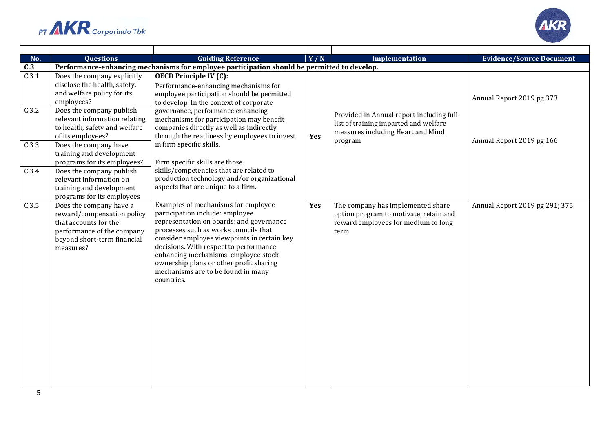



| No.   | <b>Questions</b>                                                                                                                                         | <b>Guiding Reference</b>                                                                                                                                                                                                                                                                                                                                                                    | Y/N | Implementation                                                                                                                    | <b>Evidence/Source Document</b> |  |
|-------|----------------------------------------------------------------------------------------------------------------------------------------------------------|---------------------------------------------------------------------------------------------------------------------------------------------------------------------------------------------------------------------------------------------------------------------------------------------------------------------------------------------------------------------------------------------|-----|-----------------------------------------------------------------------------------------------------------------------------------|---------------------------------|--|
| C.3   | Performance-enhancing mechanisms for employee participation should be permitted to develop.                                                              |                                                                                                                                                                                                                                                                                                                                                                                             |     |                                                                                                                                   |                                 |  |
| C.3.1 | Does the company explicitly<br>disclose the health, safety,<br>and welfare policy for its<br>employees?                                                  | <b>OECD Principle IV (C):</b><br>Performance-enhancing mechanisms for<br>employee participation should be permitted<br>to develop. In the context of corporate                                                                                                                                                                                                                              |     |                                                                                                                                   | Annual Report 2019 pg 373       |  |
| C.3.2 | Does the company publish<br>relevant information relating<br>to health, safety and welfare<br>of its employees?                                          | governance, performance enhancing<br>mechanisms for participation may benefit<br>companies directly as well as indirectly<br>through the readiness by employees to invest                                                                                                                                                                                                                   | Yes | Provided in Annual report including full<br>list of training imparted and welfare<br>measures including Heart and Mind<br>program | Annual Report 2019 pg 166       |  |
| C.3.3 | Does the company have<br>training and development<br>programs for its employees?                                                                         | in firm specific skills.<br>Firm specific skills are those                                                                                                                                                                                                                                                                                                                                  |     |                                                                                                                                   |                                 |  |
| C.3.4 | Does the company publish<br>relevant information on<br>training and development<br>programs for its employees                                            | skills/competencies that are related to<br>production technology and/or organizational<br>aspects that are unique to a firm.                                                                                                                                                                                                                                                                |     |                                                                                                                                   |                                 |  |
| C.3.5 | Does the company have a<br>reward/compensation policy<br>that accounts for the<br>performance of the company<br>beyond short-term financial<br>measures? | Examples of mechanisms for employee<br>participation include: employee<br>representation on boards; and governance<br>processes such as works councils that<br>consider employee viewpoints in certain key<br>decisions. With respect to performance<br>enhancing mechanisms, employee stock<br>ownership plans or other profit sharing<br>mechanisms are to be found in many<br>countries. | Yes | The company has implemented share<br>option program to motivate, retain and<br>reward employees for medium to long<br>term        | Annual Report 2019 pg 291; 375  |  |